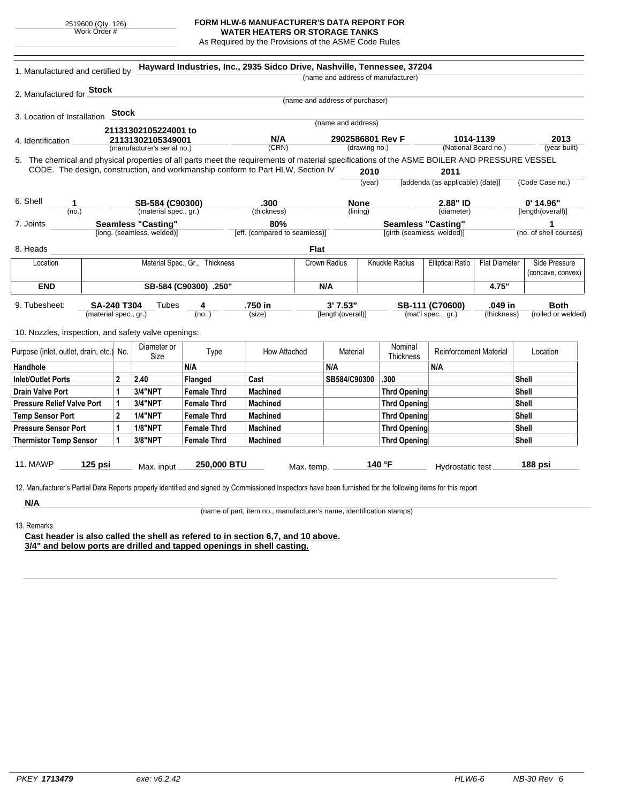2519600 (Qty. 126) Work Order #

## **FORM HLW-6 MANUFACTURER'S DATA REPORT FOR WATER HEATERS OR STORAGE TANKS**

As Required by the Provisions of the ASME Code Rules

| 1. Manufactured and certified by                                                                                                                              |                                      |                            | Hayward Industries, Inc., 2935 Sidco Drive, Nashville, Tennessee, 37204 |                                                                      |                                 |                    |                     | (name and address of manufacturer) |                                          |                      |                                    |
|---------------------------------------------------------------------------------------------------------------------------------------------------------------|--------------------------------------|----------------------------|-------------------------------------------------------------------------|----------------------------------------------------------------------|---------------------------------|--------------------|---------------------|------------------------------------|------------------------------------------|----------------------|------------------------------------|
|                                                                                                                                                               |                                      |                            |                                                                         |                                                                      |                                 |                    |                     |                                    |                                          |                      |                                    |
| 2. Manufactured for <b>Stock</b>                                                                                                                              |                                      |                            |                                                                         |                                                                      | (name and address of purchaser) |                    |                     |                                    |                                          |                      |                                    |
| 3. Location of Installation                                                                                                                                   | <b>Stock</b>                         |                            |                                                                         |                                                                      |                                 |                    |                     |                                    |                                          |                      |                                    |
|                                                                                                                                                               |                                      |                            |                                                                         |                                                                      |                                 | (name and address) |                     |                                    |                                          |                      |                                    |
| 21131302105224001 to<br>21131302105349001<br>4. Identification                                                                                                |                                      |                            |                                                                         | N/A                                                                  |                                 | 2902586801 Rev F   |                     | 1014-1139                          |                                          | 2013                 |                                    |
|                                                                                                                                                               | (manufacturer's serial no.)          |                            |                                                                         | (CRN)                                                                |                                 | (drawing no.)      |                     |                                    | (National Board no.)                     |                      | (year built)                       |
| 5. The chemical and physical properties of all parts meet the requirements of material specifications of the ASME BOILER AND PRESSURE VESSEL                  |                                      |                            |                                                                         |                                                                      |                                 |                    |                     |                                    |                                          |                      |                                    |
| CODE. The design, construction, and workmanship conform to Part HLW, Section IV                                                                               |                                      |                            |                                                                         |                                                                      |                                 |                    | 2010<br>(year)      |                                    | 2011<br>[addenda (as applicable) (date)] |                      |                                    |
|                                                                                                                                                               |                                      |                            |                                                                         |                                                                      |                                 |                    |                     |                                    |                                          |                      | (Code Case no.)                    |
| 6. Shell<br>1                                                                                                                                                 | SB-584 (C90300)                      |                            |                                                                         | .300                                                                 |                                 | <b>None</b>        |                     |                                    | 2.88" ID                                 |                      | $0'$ 14.96"                        |
| (no.)                                                                                                                                                         | (material spec., gr.)<br>(thickness) |                            |                                                                         | (diameter)<br>(lining)                                               |                                 |                    |                     | [length(overall)]                  |                                          |                      |                                    |
| 7. Joints                                                                                                                                                     |                                      | <b>Seamless "Casting"</b>  |                                                                         | 80%                                                                  |                                 |                    |                     | <b>Seamless "Casting"</b>          |                                          |                      | 1                                  |
|                                                                                                                                                               |                                      | [long. (seamless, welded)] |                                                                         | [eff. (compared to seamless)]                                        |                                 |                    |                     | [girth (seamless, welded)]         |                                          |                      | (no. of shell courses)             |
| 8. Heads                                                                                                                                                      |                                      |                            |                                                                         |                                                                      | <b>Flat</b>                     |                    |                     |                                    |                                          |                      |                                    |
| Location                                                                                                                                                      | Material Spec., Gr., Thickness       |                            |                                                                         |                                                                      | Crown Radius                    |                    |                     | <b>Knuckle Radius</b>              | <b>Elliptical Ratio</b>                  | <b>Flat Diameter</b> | Side Pressure<br>(concave, convex) |
| <b>END</b>                                                                                                                                                    | SB-584 (C90300) .250"                |                            |                                                                         |                                                                      | N/A                             |                    |                     |                                    | 4.75"                                    |                      |                                    |
| 9. Tubesheet:                                                                                                                                                 | SA-240 T304                          | Tubes                      | 4                                                                       | .750 in                                                              |                                 | 3'7.53"            |                     |                                    | SB-111 (C70600)                          | .049 in              | <b>Both</b>                        |
|                                                                                                                                                               | (material spec., gr.)                |                            | (no. )                                                                  | (size)                                                               |                                 | [length(overall)]  |                     |                                    | (mat'l spec., gr.)                       | (thickness)          | (rolled or welded)                 |
|                                                                                                                                                               |                                      |                            |                                                                         |                                                                      |                                 |                    |                     |                                    |                                          |                      |                                    |
| 10. Nozzles, inspection, and safety valve openings:                                                                                                           |                                      |                            |                                                                         |                                                                      |                                 |                    |                     |                                    |                                          |                      |                                    |
| Diameter or<br>Purpose (inlet, outlet, drain, etc.) No.                                                                                                       |                                      | Size                       | Type                                                                    | How Attached                                                         |                                 | Material           |                     | Nominal<br><b>Thickness</b>        | <b>Reinforcement Material</b>            |                      | Location                           |
| Handhole                                                                                                                                                      |                                      |                            | N/A                                                                     |                                                                      |                                 | N/A                |                     |                                    | N/A                                      |                      |                                    |
| <b>Inlet/Outlet Ports</b>                                                                                                                                     | $\overline{2}$                       | 2.40                       | <b>Flanged</b>                                                          | Cast                                                                 |                                 | SB584/C90300       |                     | .300                               |                                          |                      | Shell                              |
| 3/4"NPT<br>$\mathbf{1}$<br><b>Drain Valve Port</b>                                                                                                            |                                      | <b>Female Thrd</b>         | <b>Machined</b>                                                         |                                                                      |                                 |                    | <b>Thrd Opening</b> |                                    |                                          | Shell                |                                    |
| 3/4"NPT<br><b>Pressure Relief Valve Port</b><br>$\mathbf{1}$                                                                                                  |                                      | <b>Female Thrd</b>         | <b>Machined</b>                                                         |                                                                      |                                 |                    | <b>Thrd Opening</b> |                                    |                                          | Shell                |                                    |
| <b>Temp Sensor Port</b>                                                                                                                                       | $\mathbf{2}$                         | <b>1/4"NPT</b>             | <b>Female Thrd</b>                                                      | <b>Machined</b>                                                      |                                 |                    |                     | <b>Thrd Opening</b>                |                                          |                      | Shell                              |
| <b>Pressure Sensor Port</b>                                                                                                                                   | 1                                    | <b>1/8"NPT</b>             | <b>Female Thrd</b>                                                      | <b>Machined</b>                                                      |                                 |                    |                     | <b>Thrd Opening</b>                |                                          |                      | <b>Shell</b>                       |
| <b>Thermistor Temp Sensor</b>                                                                                                                                 | 1                                    | 3/8"NPT                    | <b>Female Thrd</b>                                                      | <b>Machined</b>                                                      |                                 |                    |                     | <b>Thrd Opening</b>                |                                          |                      | <b>Shell</b>                       |
|                                                                                                                                                               |                                      |                            |                                                                         |                                                                      |                                 |                    |                     |                                    |                                          |                      |                                    |
| 11. MAWP<br>$125$ psi                                                                                                                                         |                                      | Max. input                 | 250,000 BTU                                                             |                                                                      | Max. temp.                      |                    |                     | 140 °F                             | Hydrostatic test                         |                      | 188 psi                            |
|                                                                                                                                                               |                                      |                            |                                                                         |                                                                      |                                 |                    |                     |                                    |                                          |                      |                                    |
| 12. Manufacturer's Partial Data Reports properly identified and signed by Commissioned Inspectors have been furnished for the following items for this report |                                      |                            |                                                                         |                                                                      |                                 |                    |                     |                                    |                                          |                      |                                    |
| N/A                                                                                                                                                           |                                      |                            |                                                                         |                                                                      |                                 |                    |                     |                                    |                                          |                      |                                    |
|                                                                                                                                                               |                                      |                            |                                                                         | (name of part, item no., manufacturer's name, identification stamps) |                                 |                    |                     |                                    |                                          |                      |                                    |
| 13. Remarks                                                                                                                                                   |                                      |                            |                                                                         |                                                                      |                                 |                    |                     |                                    |                                          |                      |                                    |
| Cast header is also called the shell as refered to in section 6,7, and 10 above.                                                                              |                                      |                            |                                                                         |                                                                      |                                 |                    |                     |                                    |                                          |                      |                                    |

**3/4" and below ports are drilled and tapped openings in shell casting.**

÷. i.